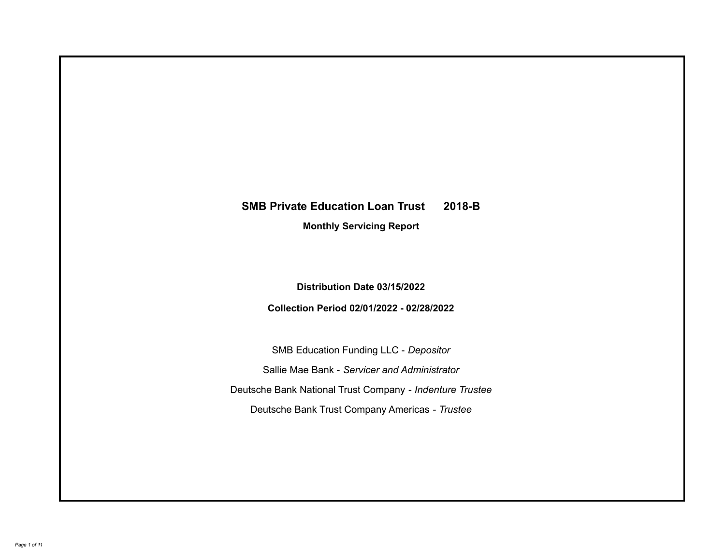# **SMB Private Education Loan Trust 2018-B**

**Monthly Servicing Report**

**Distribution Date 03/15/2022**

**Collection Period 02/01/2022 - 02/28/2022**

SMB Education Funding LLC - *Depositor* Sallie Mae Bank - *Servicer and Administrator* Deutsche Bank National Trust Company - *Indenture Trustee* Deutsche Bank Trust Company Americas - *Trustee*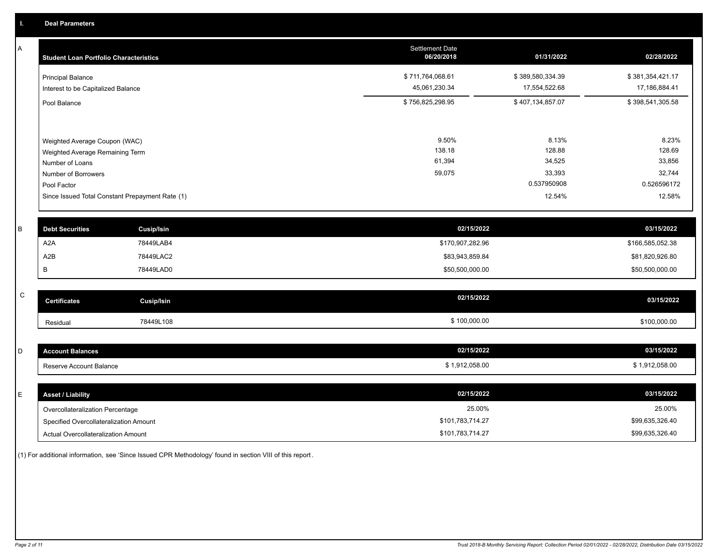A

| <b>Student Loan Portfolio Characteristics</b>                  | <b>Settlement Date</b><br>06/20/2018 | 01/31/2022                        | 02/28/2022                        |
|----------------------------------------------------------------|--------------------------------------|-----------------------------------|-----------------------------------|
| <b>Principal Balance</b><br>Interest to be Capitalized Balance | \$711,764,068.61<br>45,061,230.34    | \$389,580,334.39<br>17,554,522.68 | \$381,354,421.17<br>17,186,884.41 |
| Pool Balance                                                   | \$756,825,298.95                     | \$407,134,857.07                  | \$398,541,305.58                  |
|                                                                |                                      |                                   |                                   |
| Weighted Average Coupon (WAC)                                  | 9.50%                                | 8.13%                             | 8.23%                             |
| Weighted Average Remaining Term                                | 138.18                               | 128.88                            | 128.69                            |
| Number of Loans                                                | 61,394                               | 34,525                            | 33,856                            |
| Number of Borrowers                                            | 59,075                               | 33,393                            | 32,744                            |
| Pool Factor                                                    |                                      | 0.537950908                       | 0.526596172                       |
| Since Issued Total Constant Prepayment Rate (1)                |                                      | 12.54%                            | 12.58%                            |
|                                                                |                                      |                                   |                                   |

| <b>Debt Securities</b> | Cusip/Isin | 02/15/2022       | 03/15/2022       |
|------------------------|------------|------------------|------------------|
| A2A                    | 78449LAB4  | \$170,907,282.96 | \$166,585,052.38 |
| A2B                    | 78449LAC2  | \$83,943,859.84  | \$81,820,926.80  |
|                        | 78449LAD0  | \$50,500,000.00  | \$50,500,000.00  |

| C | <b>Certificates</b> | <b>Cusip/Isin</b> | 02/15/2022   | 03/15/2022   |
|---|---------------------|-------------------|--------------|--------------|
|   | Residual            | 78449L108         | \$100,000.00 | \$100,000.00 |

| $\sim$<br>◡ | unt Balances<br>"ACCO.  | 02/15/2022   | 03/15/2022   |
|-------------|-------------------------|--------------|--------------|
|             | Reserve Account Balance | 1,912,058.00 | 1,912,058.00 |

| <b>Asset / Liability</b>               | 02/15/2022       | 03/15/2022      |
|----------------------------------------|------------------|-----------------|
| Overcollateralization Percentage       | 25.00%           | 25.00%          |
| Specified Overcollateralization Amount | \$101,783,714.27 | \$99,635,326.40 |
| Actual Overcollateralization Amount    | \$101,783,714.27 | \$99,635,326.40 |

(1) For additional information, see 'Since Issued CPR Methodology' found in section VIII of this report .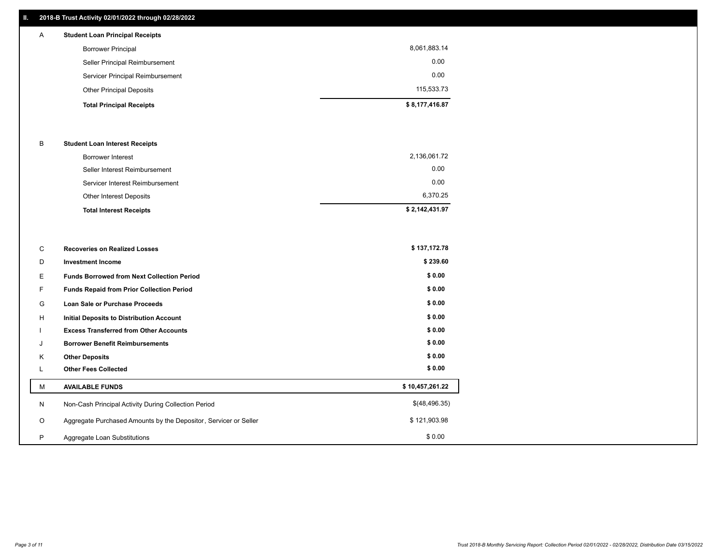## **II. 2018-B Trust Activity 02/01/2022 through 02/28/2022**

| $\mathsf{A}$ | <b>Student Loan Principal Receipts</b> |                |
|--------------|----------------------------------------|----------------|
|              | <b>Borrower Principal</b>              | 8,061,883.14   |
|              | Seller Principal Reimbursement         | 0.00           |
|              | Servicer Principal Reimbursement       | 0.00           |
|              | <b>Other Principal Deposits</b>        | 115,533.73     |
|              | <b>Total Principal Receipts</b>        | \$8,177,416.87 |

### B **Student Loan Interest Receipts**

| <b>Total Interest Receipts</b>  | \$2,142,431.97 |
|---------------------------------|----------------|
| Other Interest Deposits         | 6,370.25       |
| Servicer Interest Reimbursement | 0.00           |
| Seller Interest Reimbursement   | 0.00           |
| Borrower Interest               | 2,136,061.72   |

| C       | <b>Recoveries on Realized Losses</b>                             | \$137,172.78    |
|---------|------------------------------------------------------------------|-----------------|
| D       | <b>Investment Income</b>                                         | \$239.60        |
| E.      | <b>Funds Borrowed from Next Collection Period</b>                | \$0.00          |
| F.      | <b>Funds Repaid from Prior Collection Period</b>                 | \$0.00          |
| G       | Loan Sale or Purchase Proceeds                                   | \$0.00          |
| H       | Initial Deposits to Distribution Account                         | \$0.00          |
|         | <b>Excess Transferred from Other Accounts</b>                    | \$0.00          |
| J       | <b>Borrower Benefit Reimbursements</b>                           | \$0.00          |
| K       | <b>Other Deposits</b>                                            | \$0.00          |
| L       | <b>Other Fees Collected</b>                                      | \$0.00          |
| м       | <b>AVAILABLE FUNDS</b>                                           | \$10,457,261.22 |
| N       | Non-Cash Principal Activity During Collection Period             | \$(48,496.35)   |
| $\circ$ | Aggregate Purchased Amounts by the Depositor, Servicer or Seller | \$121,903.98    |
| P       | Aggregate Loan Substitutions                                     | \$0.00          |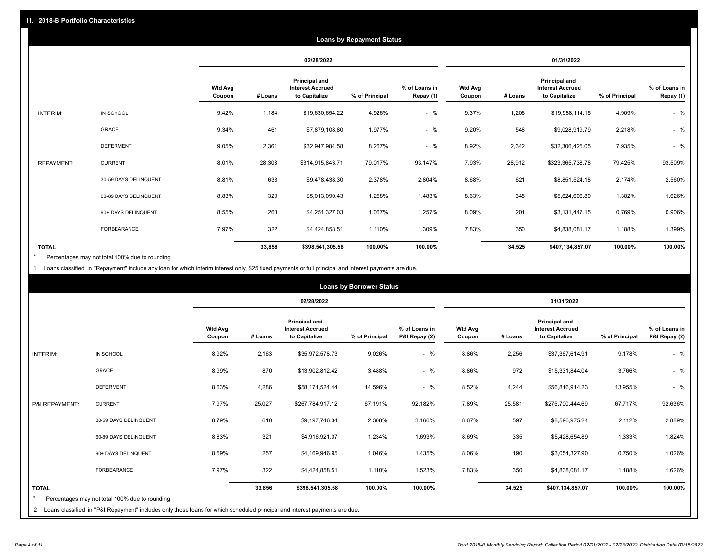|                   |                       |                          |         |                                                                  | <b>Loans by Repayment Status</b> |                            |                          |         |                                                           |                |                            |
|-------------------|-----------------------|--------------------------|---------|------------------------------------------------------------------|----------------------------------|----------------------------|--------------------------|---------|-----------------------------------------------------------|----------------|----------------------------|
|                   |                       |                          |         | 02/28/2022                                                       |                                  |                            |                          |         | 01/31/2022                                                |                |                            |
|                   |                       | <b>Wtd Avg</b><br>Coupon | # Loans | <b>Principal and</b><br><b>Interest Accrued</b><br>to Capitalize | % of Principal                   | % of Loans in<br>Repay (1) | <b>Wtd Avg</b><br>Coupon | # Loans | Principal and<br><b>Interest Accrued</b><br>to Capitalize | % of Principal | % of Loans in<br>Repay (1) |
| INTERIM:          | IN SCHOOL             | 9.42%                    | 1,184   | \$19,630,654.22                                                  | 4.926%                           | $-$ %                      | 9.37%                    | 1,206   | \$19,988,114.15                                           | 4.909%         | $-$ %                      |
|                   | GRACE                 | 9.34%                    | 461     | \$7,879,108.80                                                   | 1.977%                           | $-$ %                      | 9.20%                    | 548     | \$9,028,919.79                                            | 2.218%         | $-$ %                      |
|                   | <b>DEFERMENT</b>      | 9.05%                    | 2,361   | \$32,947,984.58                                                  | 8.267%                           | $-$ %                      | 8.92%                    | 2,342   | \$32,306,425.05                                           | 7.935%         | $-$ %                      |
| <b>REPAYMENT:</b> | <b>CURRENT</b>        | 8.01%                    | 28,303  | \$314,915,843.71                                                 | 79.017%                          | 93.147%                    | 7.93%                    | 28,912  | \$323,365,738.78                                          | 79.425%        | 93.509%                    |
|                   | 30-59 DAYS DELINQUENT | 8.81%                    | 633     | \$9,478,438.30                                                   | 2.378%                           | 2.804%                     | 8.68%                    | 621     | \$8,851,524.18                                            | 2.174%         | 2.560%                     |
|                   | 60-89 DAYS DELINQUENT | 8.83%                    | 329     | \$5,013,090.43                                                   | 1.258%                           | 1.483%                     | 8.63%                    | 345     | \$5,624,606.80                                            | 1.382%         | 1.626%                     |
|                   | 90+ DAYS DELINQUENT   | 8.55%                    | 263     | \$4,251,327.03                                                   | 1.067%                           | 1.257%                     | 8.09%                    | 201     | \$3,131,447.15                                            | 0.769%         | 0.906%                     |
|                   | <b>FORBEARANCE</b>    | 7.97%                    | 322     | \$4,424,858.51                                                   | 1.110%                           | 1.309%                     | 7.83%                    | 350     | \$4,838,081.17                                            | 1.188%         | 1.399%                     |
| <b>TOTAL</b>      |                       |                          | 33,856  | \$398,541,305.58                                                 | 100.00%                          | 100.00%                    |                          | 34,525  | \$407,134,857.07                                          | 100.00%        | 100.00%                    |

Percentages may not total 100% due to rounding \*

1 Loans classified in "Repayment" include any loan for which interim interest only, \$25 fixed payments or full principal and interest payments are due.

|                         |                                                                                                                              |                          |            |                                                           | <b>Loans by Borrower Status</b> |                                |                          |            |                                                                  |                |                                |  |
|-------------------------|------------------------------------------------------------------------------------------------------------------------------|--------------------------|------------|-----------------------------------------------------------|---------------------------------|--------------------------------|--------------------------|------------|------------------------------------------------------------------|----------------|--------------------------------|--|
|                         |                                                                                                                              |                          | 02/28/2022 |                                                           |                                 |                                |                          | 01/31/2022 |                                                                  |                |                                |  |
|                         |                                                                                                                              | <b>Wtd Avg</b><br>Coupon | # Loans    | Principal and<br><b>Interest Accrued</b><br>to Capitalize | % of Principal                  | % of Loans in<br>P&I Repay (2) | <b>Wtd Avg</b><br>Coupon | # Loans    | <b>Principal and</b><br><b>Interest Accrued</b><br>to Capitalize | % of Principal | % of Loans in<br>P&I Repay (2) |  |
| <b>INTERIM:</b>         | IN SCHOOL                                                                                                                    | 8.92%                    | 2,163      | \$35,972,578.73                                           | 9.026%                          | $-$ %                          | 8.86%                    | 2,256      | \$37,367,614.91                                                  | 9.178%         | $-$ %                          |  |
|                         | <b>GRACE</b>                                                                                                                 | 8.99%                    | 870        | \$13,902,812.42                                           | 3.488%                          | $-$ %                          | 8.86%                    | 972        | \$15,331,844.04                                                  | 3.766%         | $-$ %                          |  |
|                         | <b>DEFERMENT</b>                                                                                                             | 8.63%                    | 4,286      | \$58,171,524.44                                           | 14.596%                         | $-$ %                          | 8.52%                    | 4,244      | \$56,816,914.23                                                  | 13.955%        | $-$ %                          |  |
| P&I REPAYMENT:          | <b>CURRENT</b>                                                                                                               | 7.97%                    | 25,027     | \$267,784,917.12                                          | 67.191%                         | 92.182%                        | 7.89%                    | 25,581     | \$275,700,444.69                                                 | 67.717%        | 92.636%                        |  |
|                         | 30-59 DAYS DELINQUENT                                                                                                        | 8.79%                    | 610        | \$9,197,746.34                                            | 2.308%                          | 3.166%                         | 8.67%                    | 597        | \$8,596,975.24                                                   | 2.112%         | 2.889%                         |  |
|                         | 60-89 DAYS DELINQUENT                                                                                                        | 8.83%                    | 321        | \$4,916,921.07                                            | 1.234%                          | 1.693%                         | 8.69%                    | 335        | \$5,428,654.89                                                   | 1.333%         | 1.824%                         |  |
|                         | 90+ DAYS DELINQUENT                                                                                                          | 8.59%                    | 257        | \$4,169,946.95                                            | 1.046%                          | 1.435%                         | 8.06%                    | 190        | \$3,054,327.90                                                   | 0.750%         | 1.026%                         |  |
|                         | <b>FORBEARANCE</b>                                                                                                           | 7.97%                    | 322        | \$4,424,858.51                                            | 1.110%                          | 1.523%                         | 7.83%                    | 350        | \$4,838,081.17                                                   | 1.188%         | 1.626%                         |  |
| <b>TOTAL</b><br>$\star$ | Percentages may not total 100% due to rounding                                                                               |                          | 33,856     | \$398,541,305.58                                          | 100.00%                         | 100.00%                        |                          | 34,525     | \$407,134,857.07                                                 | 100.00%        | 100.00%                        |  |
|                         | 2 Loans classified in "P&I Repayment" includes only those loans for which scheduled principal and interest payments are due. |                          |            |                                                           |                                 |                                |                          |            |                                                                  |                |                                |  |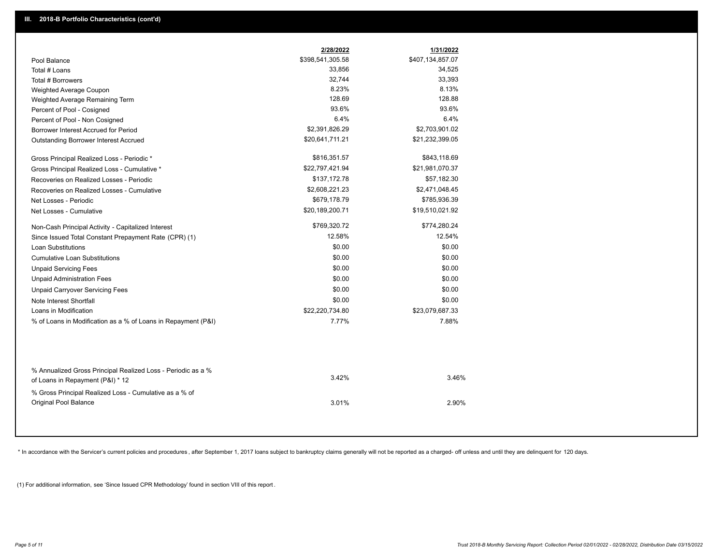|                                                                                        | 2/28/2022        | 1/31/2022        |  |
|----------------------------------------------------------------------------------------|------------------|------------------|--|
| Pool Balance                                                                           | \$398,541,305.58 | \$407,134,857.07 |  |
| Total # Loans                                                                          | 33,856           | 34,525           |  |
| Total # Borrowers                                                                      | 32,744           | 33,393           |  |
| Weighted Average Coupon                                                                | 8.23%            | 8.13%            |  |
| Weighted Average Remaining Term                                                        | 128.69           | 128.88           |  |
| Percent of Pool - Cosigned                                                             | 93.6%            | 93.6%            |  |
| Percent of Pool - Non Cosigned                                                         | 6.4%             | 6.4%             |  |
| Borrower Interest Accrued for Period                                                   | \$2,391,826.29   | \$2,703,901.02   |  |
| Outstanding Borrower Interest Accrued                                                  | \$20,641,711.21  | \$21,232,399.05  |  |
| Gross Principal Realized Loss - Periodic *                                             | \$816,351.57     | \$843,118.69     |  |
| Gross Principal Realized Loss - Cumulative *                                           | \$22,797,421.94  | \$21,981,070.37  |  |
| Recoveries on Realized Losses - Periodic                                               | \$137,172.78     | \$57,182.30      |  |
| Recoveries on Realized Losses - Cumulative                                             | \$2,608,221.23   | \$2,471,048.45   |  |
| Net Losses - Periodic                                                                  | \$679,178.79     | \$785,936.39     |  |
| Net Losses - Cumulative                                                                | \$20,189,200.71  | \$19,510,021.92  |  |
| Non-Cash Principal Activity - Capitalized Interest                                     | \$769,320.72     | \$774,280.24     |  |
| Since Issued Total Constant Prepayment Rate (CPR) (1)                                  | 12.58%           | 12.54%           |  |
| <b>Loan Substitutions</b>                                                              | \$0.00           | \$0.00           |  |
| <b>Cumulative Loan Substitutions</b>                                                   | \$0.00           | \$0.00           |  |
| <b>Unpaid Servicing Fees</b>                                                           | \$0.00           | \$0.00           |  |
| <b>Unpaid Administration Fees</b>                                                      | \$0.00           | \$0.00           |  |
| <b>Unpaid Carryover Servicing Fees</b>                                                 | \$0.00           | \$0.00           |  |
| Note Interest Shortfall                                                                | \$0.00           | \$0.00           |  |
| Loans in Modification                                                                  | \$22,220,734.80  | \$23,079,687.33  |  |
| % of Loans in Modification as a % of Loans in Repayment (P&I)                          | 7.77%            | 7.88%            |  |
| % Annualized Gross Principal Realized Loss - Periodic as a %                           |                  |                  |  |
| of Loans in Repayment (P&I) * 12                                                       | 3.42%            | 3.46%            |  |
| % Gross Principal Realized Loss - Cumulative as a % of<br><b>Original Pool Balance</b> | 3.01%            | 2.90%            |  |

\* In accordance with the Servicer's current policies and procedures, after September 1, 2017 loans subject to bankruptcy claims generally will not be reported as a charged- off unless and until they are delinquent for 120

(1) For additional information, see 'Since Issued CPR Methodology' found in section VIII of this report .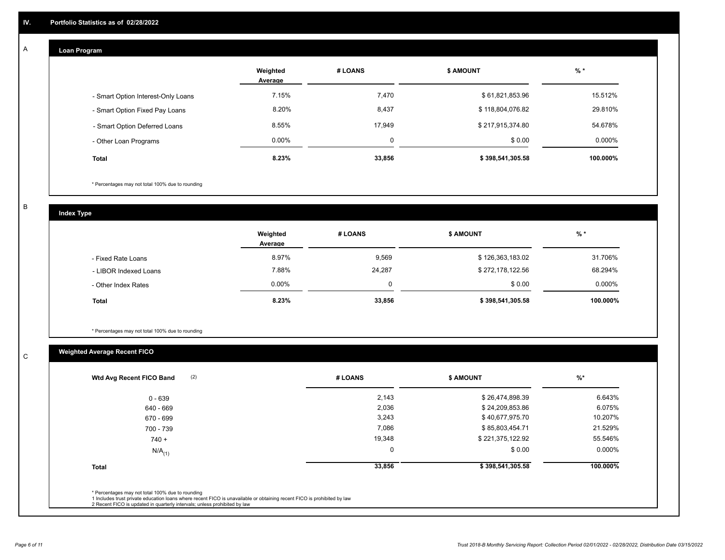## **Loan Program**

A

|                                    | Weighted<br>Average | # LOANS  | <b>S AMOUNT</b>  | $%$ *     |
|------------------------------------|---------------------|----------|------------------|-----------|
| - Smart Option Interest-Only Loans | 7.15%               | 7,470    | \$61,821,853.96  | 15.512%   |
| - Smart Option Fixed Pay Loans     | 8.20%               | 8,437    | \$118,804,076.82 | 29.810%   |
| - Smart Option Deferred Loans      | 8.55%               | 17.949   | \$217,915,374.80 | 54.678%   |
| - Other Loan Programs              | $0.00\%$            | $\Omega$ | \$0.00           | $0.000\%$ |
| <b>Total</b>                       | 8.23%               | 33,856   | \$398,541,305.58 | 100.000%  |

\* Percentages may not total 100% due to rounding

B

C

**Index Type**

|                       | Weighted<br>Average | # LOANS  | \$ AMOUNT        | $%$ *    |
|-----------------------|---------------------|----------|------------------|----------|
| - Fixed Rate Loans    | 8.97%               | 9,569    | \$126,363,183.02 | 31.706%  |
| - LIBOR Indexed Loans | 7.88%               | 24,287   | \$272,178,122.56 | 68.294%  |
| - Other Index Rates   | $0.00\%$            | $\Omega$ | \$0.00           | 0.000%   |
| <b>Total</b>          | 8.23%               | 33,856   | \$398,541,305.58 | 100.000% |

\* Percentages may not total 100% due to rounding

# **Weighted Average Recent FICO**

| $0 - 639$<br>640 - 669 | 2,143       | \$26,474,898.39  | 6.643%   |
|------------------------|-------------|------------------|----------|
|                        |             |                  |          |
|                        | 2,036       | \$24,209,853.86  | 6.075%   |
| 670 - 699              | 3,243       | \$40,677,975.70  | 10.207%  |
| 700 - 739              | 7,086       | \$85,803,454.71  | 21.529%  |
| $740 +$                | 19,348      | \$221,375,122.92 | 55.546%  |
| $N/A$ <sub>(1)</sub>   | $\mathbf 0$ | \$0.00           | 0.000%   |
| <b>Total</b>           | 33,856      | \$398,541,305.58 | 100.000% |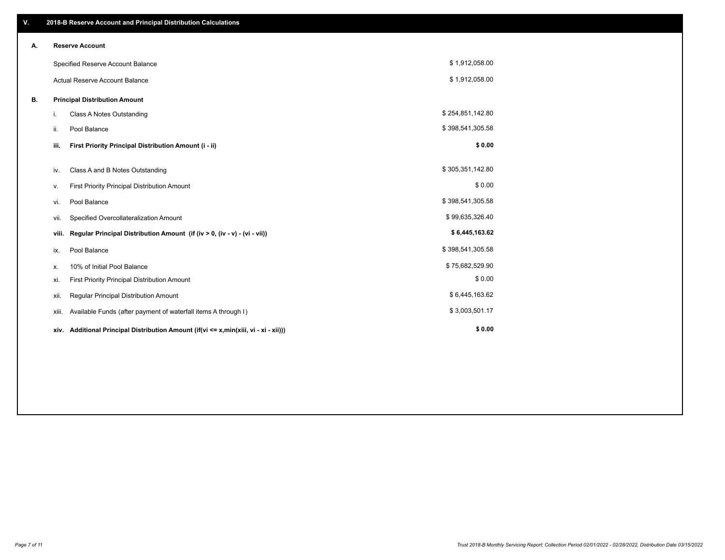| V. |                                      | 2018-B Reserve Account and Principal Distribution Calculations                  |                  |  |
|----|--------------------------------------|---------------------------------------------------------------------------------|------------------|--|
| А. |                                      | <b>Reserve Account</b>                                                          |                  |  |
|    |                                      | Specified Reserve Account Balance                                               | \$1,912,058.00   |  |
|    |                                      | <b>Actual Reserve Account Balance</b>                                           | \$1,912,058.00   |  |
| В. | <b>Principal Distribution Amount</b> |                                                                                 |                  |  |
|    | i.                                   | Class A Notes Outstanding                                                       | \$254,851,142.80 |  |
|    | ii.                                  | Pool Balance                                                                    | \$398,541,305.58 |  |
|    | iii.                                 | First Priority Principal Distribution Amount (i - ii)                           | \$0.00           |  |
|    |                                      |                                                                                 | \$305,351,142.80 |  |
|    | iv.                                  | Class A and B Notes Outstanding                                                 |                  |  |
|    | ν.                                   | First Priority Principal Distribution Amount                                    | \$0.00           |  |
|    | vi.                                  | Pool Balance                                                                    | \$398,541,305.58 |  |
|    | vii.                                 | Specified Overcollateralization Amount                                          | \$99,635,326.40  |  |
|    | viii.                                | Regular Principal Distribution Amount (if (iv > 0, (iv - v) - (vi - vii))       | \$6,445,163.62   |  |
|    | ix.                                  | Pool Balance                                                                    | \$398,541,305.58 |  |
|    | х.                                   | 10% of Initial Pool Balance                                                     | \$75,682,529.90  |  |
|    | xi.                                  | First Priority Principal Distribution Amount                                    | \$0.00           |  |
|    | xii.                                 | Regular Principal Distribution Amount                                           | \$6,445,163.62   |  |
|    | xiii.                                | Available Funds (after payment of waterfall items A through I)                  | \$3,003,501.17   |  |
|    | XIV.                                 | Additional Principal Distribution Amount (if(vi <= x,min(xiii, vi - xi - xii))) | \$0.00           |  |
|    |                                      |                                                                                 |                  |  |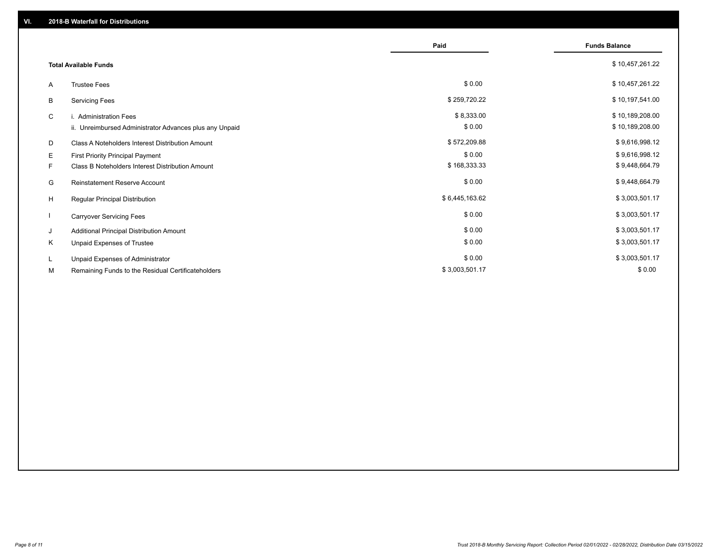|                              |                                                         | Paid           | <b>Funds Balance</b> |
|------------------------------|---------------------------------------------------------|----------------|----------------------|
|                              |                                                         |                |                      |
| <b>Total Available Funds</b> |                                                         |                | \$10,457,261.22      |
| A                            | <b>Trustee Fees</b>                                     | \$0.00         | \$10,457,261.22      |
| В                            | <b>Servicing Fees</b>                                   | \$259,720.22   | \$10,197,541.00      |
| C                            | i. Administration Fees                                  | \$8,333.00     | \$10,189,208.00      |
|                              | ii. Unreimbursed Administrator Advances plus any Unpaid | \$0.00         | \$10,189,208.00      |
| D                            | Class A Noteholders Interest Distribution Amount        | \$572,209.88   | \$9,616,998.12       |
| Е                            | First Priority Principal Payment                        | \$0.00         | \$9,616,998.12       |
| F.                           | Class B Noteholders Interest Distribution Amount        | \$168,333.33   | \$9,448,664.79       |
| G                            | Reinstatement Reserve Account                           | \$0.00         | \$9,448,664.79       |
| H                            | <b>Regular Principal Distribution</b>                   | \$6,445,163.62 | \$3,003,501.17       |
|                              | <b>Carryover Servicing Fees</b>                         | \$0.00         | \$3,003,501.17       |
| J                            | Additional Principal Distribution Amount                | \$0.00         | \$3,003,501.17       |
| Κ                            | Unpaid Expenses of Trustee                              | \$0.00         | \$3,003,501.17       |
| L                            | Unpaid Expenses of Administrator                        | \$0.00         | \$3,003,501.17       |
| М                            | Remaining Funds to the Residual Certificateholders      | \$3,003,501.17 | \$0.00               |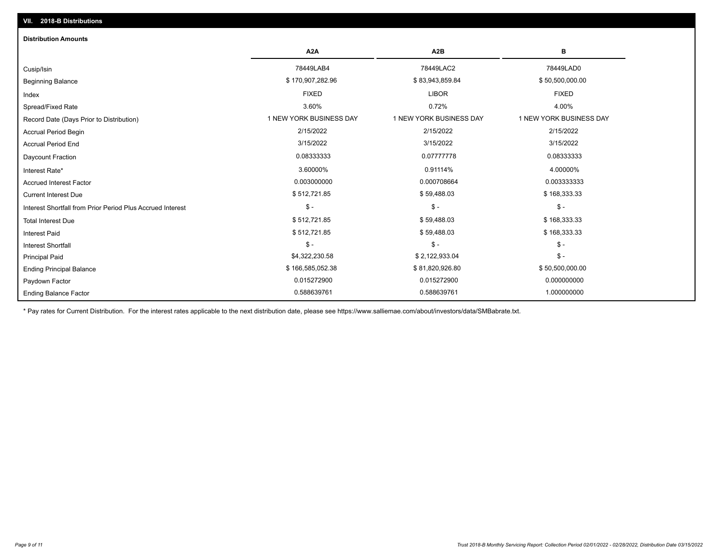| <b>Distribution Amounts</b>                                |                         |                         |                         |
|------------------------------------------------------------|-------------------------|-------------------------|-------------------------|
|                                                            | A <sub>2</sub> A        | A <sub>2</sub> B        | в                       |
| Cusip/Isin                                                 | 78449LAB4               | 78449LAC2               | 78449LAD0               |
| <b>Beginning Balance</b>                                   | \$170,907,282.96        | \$83,943,859.84         | \$50,500,000.00         |
| Index                                                      | <b>FIXED</b>            | <b>LIBOR</b>            | <b>FIXED</b>            |
| Spread/Fixed Rate                                          | 3.60%                   | 0.72%                   | 4.00%                   |
| Record Date (Days Prior to Distribution)                   | 1 NEW YORK BUSINESS DAY | 1 NEW YORK BUSINESS DAY | 1 NEW YORK BUSINESS DAY |
| <b>Accrual Period Begin</b>                                | 2/15/2022               | 2/15/2022               | 2/15/2022               |
| <b>Accrual Period End</b>                                  | 3/15/2022               | 3/15/2022               | 3/15/2022               |
| Daycount Fraction                                          | 0.08333333              | 0.07777778              | 0.08333333              |
| Interest Rate*                                             | 3.60000%                | 0.91114%                | 4.00000%                |
| <b>Accrued Interest Factor</b>                             | 0.003000000             | 0.000708664             | 0.003333333             |
| <b>Current Interest Due</b>                                | \$512,721.85            | \$59,488.03             | \$168,333.33            |
| Interest Shortfall from Prior Period Plus Accrued Interest | $\frac{1}{2}$           | $$ -$                   | $$ -$                   |
| <b>Total Interest Due</b>                                  | \$512,721.85            | \$59,488.03             | \$168,333.33            |
| <b>Interest Paid</b>                                       | \$512,721.85            | \$59,488.03             | \$168,333.33            |
| <b>Interest Shortfall</b>                                  | $$ -$                   | $$ -$                   | $$ -$                   |
| <b>Principal Paid</b>                                      | \$4,322,230.58          | \$2,122,933.04          | $$ -$                   |
| <b>Ending Principal Balance</b>                            | \$166,585,052.38        | \$81,820,926.80         | \$50,500,000.00         |
| Paydown Factor                                             | 0.015272900             | 0.015272900             | 0.000000000             |
| <b>Ending Balance Factor</b>                               | 0.588639761             | 0.588639761             | 1.000000000             |

\* Pay rates for Current Distribution. For the interest rates applicable to the next distribution date, please see https://www.salliemae.com/about/investors/data/SMBabrate.txt.

**VII. 2018-B Distributions**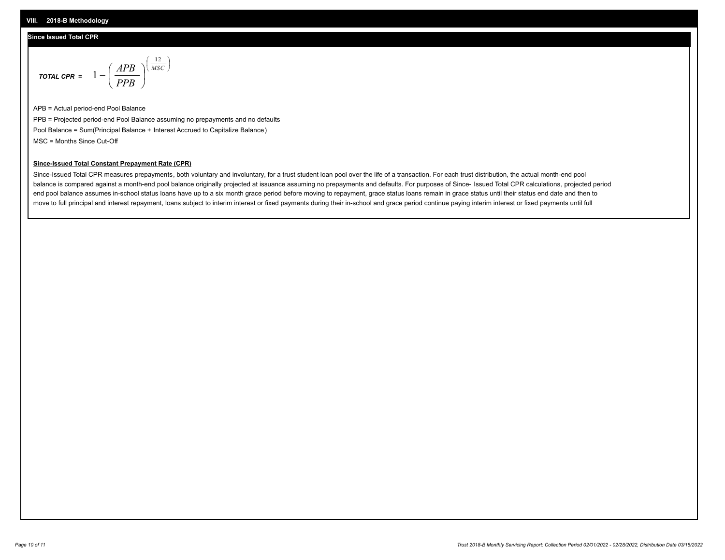## **Since Issued Total CPR**

$$
\text{total cPR} = 1 - \left(\frac{APB}{PPB}\right)^{\left(\frac{12}{MSC}\right)}
$$

APB = Actual period-end Pool Balance PPB = Projected period-end Pool Balance assuming no prepayments and no defaults Pool Balance = Sum(Principal Balance + Interest Accrued to Capitalize Balance) MSC = Months Since Cut-Off

I J Ι

### **Since-Issued Total Constant Prepayment Rate (CPR)**

Since-Issued Total CPR measures prepayments, both voluntary and involuntary, for a trust student loan pool over the life of a transaction. For each trust distribution, the actual month-end pool balance is compared against a month-end pool balance originally projected at issuance assuming no prepayments and defaults. For purposes of Since- Issued Total CPR calculations, projected period end pool balance assumes in-school status loans have up to a six month grace period before moving to repayment, grace status loans remain in grace status until their status end date and then to move to full principal and interest repayment, loans subject to interim interest or fixed payments during their in-school and grace period continue paying interim interest or fixed payments until full